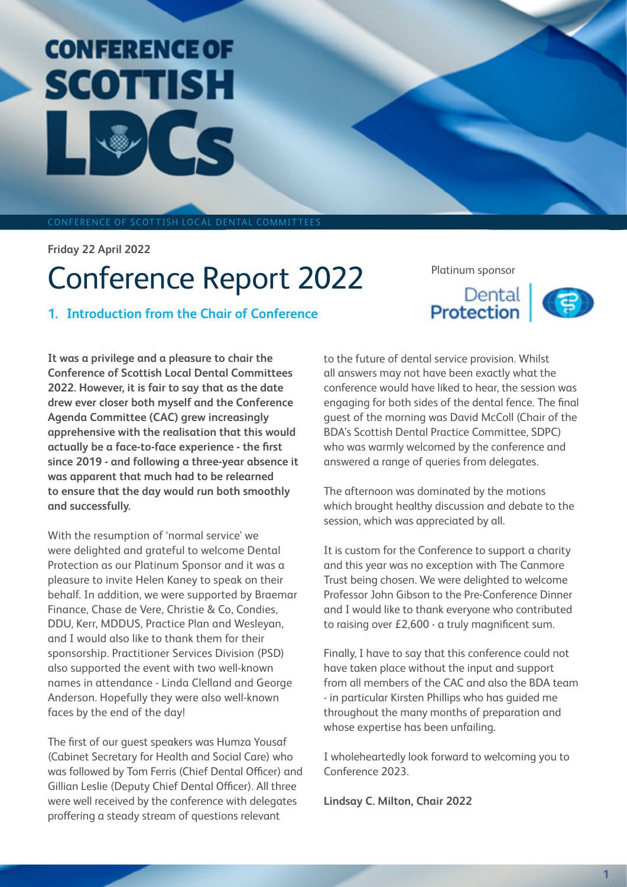# **CONFEDE** CONFEREN SCOTTISH

FERENCE OF SCOTTISH LOCAL D

**Friday 22 April 2022** 

# Conference Report 2022

**1. Introduction from the Chair of Conference** 

Platinum sponsor



**It was a privilege and a pleasure to chair the Conference of Scottish Local Dental Committees 2022. However, it is fair to say that as the date drew ever closer both myself and the Conference Agenda Committee (CAC) grew increasingly apprehensive with the realisation that this would actually be a face-to-face experience - the first since 2019 - and following a three-year absence it was apparent that much had to be relearned to ensure that the day would run both smoothly and successfully.**

With the resumption of 'normal service' we were delighted and grateful to welcome Dental Protection as our Platinum Sponsor and it was a pleasure to invite Helen Kaney to speak on their behalf. In addition, we were supported by Braemar Finance, Chase de Vere, Christie & Co, Condies, DDU, Kerr, MDDUS, Practice Plan and Wesleyan, and I would also like to thank them for their sponsorship. Practitioner Services Division (PSD) also supported the event with two well-known names in attendance - Linda Clelland and George Anderson. Hopefully they were also well-known faces by the end of the day!

The first of our guest speakers was Humza Yousaf (Cabinet Secretary for Health and Social Care) who was followed by Tom Ferris (Chief Dental Officer) and Gillian Leslie (Deputy Chief Dental Officer). All three were well received by the conference with delegates proffering a steady stream of questions relevant

to the future of dental service provision. Whilst all answers may not have been exactly what the conference would have liked to hear, the session was engaging for both sides of the dental fence. The final guest of the morning was David McColl (Chair of the BDA's Scottish Dental Practice Committee, SDPC) who was warmly welcomed by the conference and answered a range of queries from delegates.

The afternoon was dominated by the motions which brought healthy discussion and debate to the session, which was appreciated by all.

It is custom for the Conference to support a charity and this year was no exception with The Canmore Trust being chosen. We were delighted to welcome Professor John Gibson to the Pre-Conference Dinner and I would like to thank everyone who contributed to raising over £2,600 - a truly magnificent sum.

Finally, I have to say that this conference could not have taken place without the input and support from all members of the CAC and also the BDA team - in particular Kirsten Phillips who has guided me throughout the many months of preparation and whose expertise has been unfailing.

I wholeheartedly look forward to welcoming you to Conference 2023.

**Lindsay C. Milton, Chair 2022**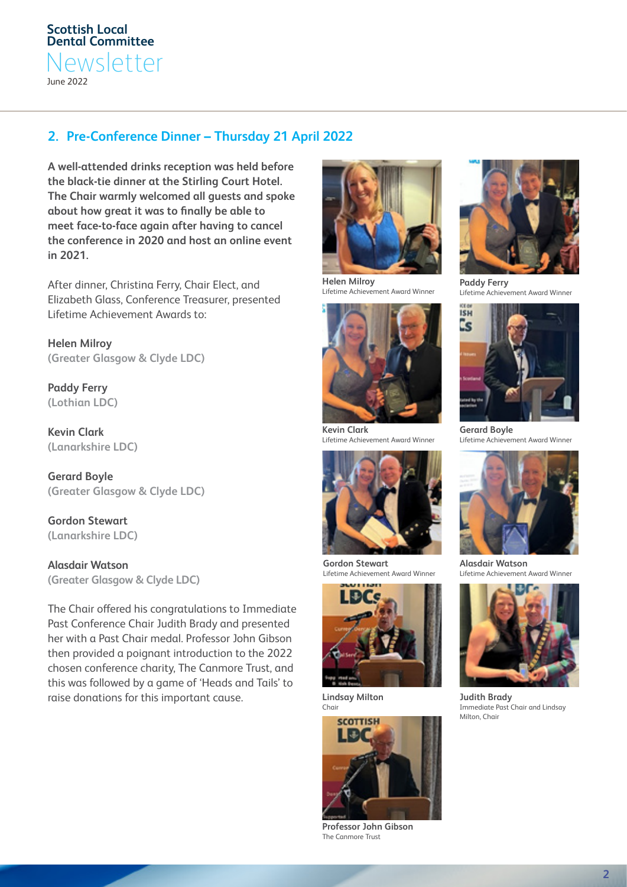# **2. Pre-Conference Dinner – Thursday 21 April 2022**

**A well-attended drinks reception was held before the black-tie dinner at the Stirling Court Hotel. The Chair warmly welcomed all guests and spoke about how great it was to finally be able to meet face-to-face again after having to cancel the conference in 2020 and host an online event in 2021.**

After dinner, Christina Ferry, Chair Elect, and Elizabeth Glass, Conference Treasurer, presented Lifetime Achievement Awards to:

**Helen Milroy (Greater Glasgow & Clyde LDC)**

**Paddy Ferry (Lothian LDC)**

**Kevin Clark (Lanarkshire LDC)**

**Gerard Boyle (Greater Glasgow & Clyde LDC)**

**Gordon Stewart (Lanarkshire LDC)**

**Alasdair Watson (Greater Glasgow & Clyde LDC)**

The Chair offered his congratulations to Immediate Past Conference Chair Judith Brady and presented her with a Past Chair medal. Professor John Gibson then provided a poignant introduction to the 2022 chosen conference charity, The Canmore Trust, and this was followed by a game of 'Heads and Tails' to raise donations for this important cause.



**Helen Milroy** Lifetime Achievement Award Winner



**Kevin Clark** Lifetime Achievement Award Winner



**Gordon Stewart** Lifetime Achievement Award Winner



**Lindsay Milton** Chair



**Professor John Gibson** The Canmore Trust



**Paddy Ferry** Lifetime Achievement Award Winner



**Gerard Boyle** Lifetime Achievement Award Winner



**Alasdair Watson** Lifetime Achievement Award Winner



**Judith Brady** Immediate Past Chair and Lindsay Milton, Chair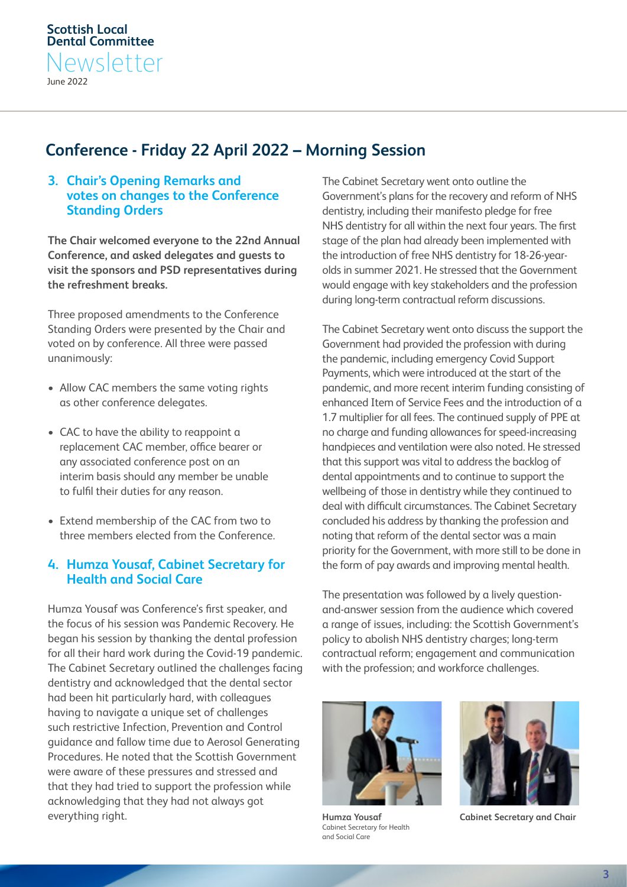# **Conference - Friday 22 April 2022 – Morning Session**

#### **3. Chair's Opening Remarks and votes on changes to the Conference Standing Orders**

**The Chair welcomed everyone to the 22nd Annual Conference, and asked delegates and guests to visit the sponsors and PSD representatives during the refreshment breaks.**

Three proposed amendments to the Conference Standing Orders were presented by the Chair and voted on by conference. All three were passed unanimously:

- Allow CAC members the same voting rights as other conference delegates.
- CAC to have the ability to reappoint a replacement CAC member, office bearer or any associated conference post on an interim basis should any member be unable to fulfil their duties for any reason.
- Extend membership of the CAC from two to three members elected from the Conference.

# **4. Humza Yousaf, Cabinet Secretary for Health and Social Care**

Humza Yousaf was Conference's first speaker, and the focus of his session was Pandemic Recovery. He began his session by thanking the dental profession for all their hard work during the Covid-19 pandemic. The Cabinet Secretary outlined the challenges facing dentistry and acknowledged that the dental sector had been hit particularly hard, with colleagues having to navigate a unique set of challenges such restrictive Infection, Prevention and Control guidance and fallow time due to Aerosol Generating Procedures. He noted that the Scottish Government were aware of these pressures and stressed and that they had tried to support the profession while acknowledging that they had not always got everything right.

The Cabinet Secretary went onto outline the Government's plans for the recovery and reform of NHS dentistry, including their manifesto pledge for free NHS dentistry for all within the next four years. The first stage of the plan had already been implemented with the introduction of free NHS dentistry for 18-26-yearolds in summer 2021. He stressed that the Government would engage with key stakeholders and the profession during long-term contractual reform discussions.

The Cabinet Secretary went onto discuss the support the Government had provided the profession with during the pandemic, including emergency Covid Support Payments, which were introduced at the start of the pandemic, and more recent interim funding consisting of enhanced Item of Service Fees and the introduction of a 1.7 multiplier for all fees. The continued supply of PPE at no charge and funding allowances for speed-increasing handpieces and ventilation were also noted. He stressed that this support was vital to address the backlog of dental appointments and to continue to support the wellbeing of those in dentistry while they continued to deal with difficult circumstances. The Cabinet Secretary concluded his address by thanking the profession and noting that reform of the dental sector was a main priority for the Government, with more still to be done in the form of pay awards and improving mental health.

The presentation was followed by a lively questionand-answer session from the audience which covered a range of issues, including: the Scottish Government's policy to abolish NHS dentistry charges; long-term contractual reform; engagement and communication with the profession; and workforce challenges.



**Humza Yousaf** Cabinet Secretary for Health and Social Care



**Cabinet Secretary and Chair**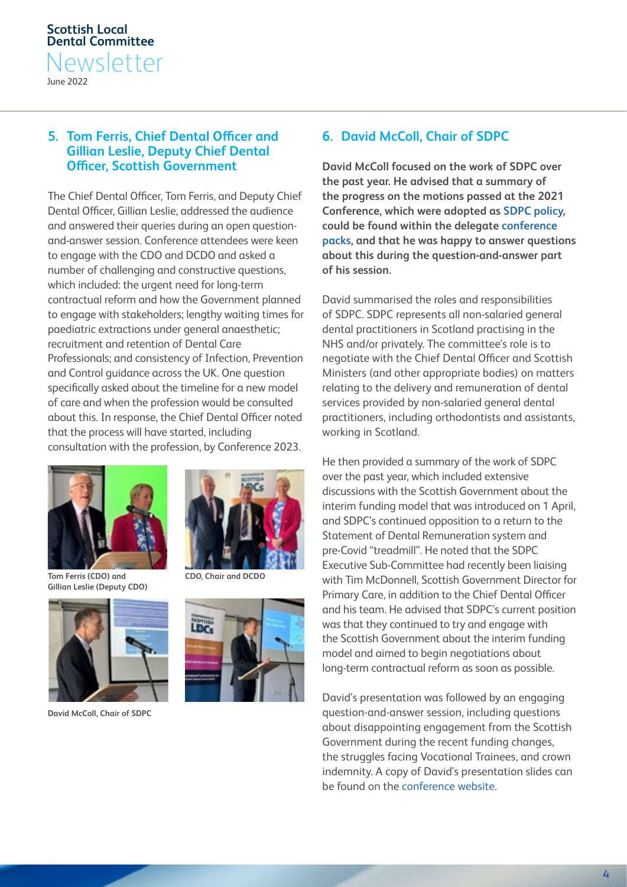#### **5. Tom Ferris, Chief Dental Officer and Gillian Leslie, Deputy Chief Dental Officer, Scottish Government**

The Chief Dental Officer, Tom Ferris, and Deputy Chief Dental Officer, Gillian Leslie, addressed the audience and answered their queries during an open questionand-answer session. Conference attendees were keen to engage with the CDO and DCDO and asked a number of challenging and constructive questions, which included: the urgent need for long-term contractual reform and how the Government planned to engage with stakeholders; lengthy waiting times for paediatric extractions under general anaesthetic; recruitment and retention of Dental Care Professionals; and consistency of Infection, Prevention and Control guidance across the UK. One question specifically asked about the timeline for a new model of care and when the profession would be consulted about this. In response, the Chief Dental Officer noted that the process will have started, including consultation with the profession, by Conference 2023.



**Tom Ferris (CDO) and Gillian Leslie (Deputy CDO)** 



**David McColl, Chair of SDPC** 



**CDO, Chair and DCDO** 



#### **6. David McColl, Chair of SDPC**

**David McColl focused on the work of SDPC over the past year. He advised that a summary of the progress on the motions passed at the 2021 Conference, which were adopted as [SDPC policy](https://eur01.safelinks.protection.outlook.com/?url=https%3A%2F%2Fscot-ldc.co.uk%2Fwp-content%2Fuploads%2F2022%2F04%2F2022-Conference-Pack-1.pdf&data=05%7C01%7CMartin.Barker%40bda.org%7C8dfb8064d0184d8768cd08da3983dee4%7Ca2143835a8314945943816cf79e6b6d2%7C0%7C0%7C637885535769356493%7CGood%7CV0FDfHsiViI6IjAuMC4wMDAwIiwiUCI6IiIsIkFOIjoiIiwiV1QiOjR9%7C1%7C%7C%7C&sdata=211ZPpfI%2FouPv8yP8U%2FG%2BrwtvGIafPicySQ86h5sjnQ%3D&reserved=0), could be found within the delegate [conference](https://eur01.safelinks.protection.outlook.com/?url=https%3A%2F%2Fscot-ldc.co.uk%2Fwp-content%2Fuploads%2F2022%2F04%2F2022-Conference-Pack-1.pdf&data=05%7C01%7CMartin.Barker%40bda.org%7Cbe86db961155460f344d08da3983f716%7Ca2143835a8314945943816cf79e6b6d2%7C0%7C0%7C637885536175273037%7CGood%7CV0FDfHsiViI6IjAuMC4wMDAwIiwiUCI6IiIsIkFOIjoiIiwiV1QiOjR9%7C1%7C%7C%7C&sdata=vfIqHqvB%2F95J4MOi%2BxDxi1%2BGnom1GYm%2Fhq4XOWwoq%2Fw%3D&reserved=0)  [packs](https://eur01.safelinks.protection.outlook.com/?url=https%3A%2F%2Fscot-ldc.co.uk%2Fwp-content%2Fuploads%2F2022%2F04%2F2022-Conference-Pack-1.pdf&data=05%7C01%7CMartin.Barker%40bda.org%7Cbe86db961155460f344d08da3983f716%7Ca2143835a8314945943816cf79e6b6d2%7C0%7C0%7C637885536175273037%7CGood%7CV0FDfHsiViI6IjAuMC4wMDAwIiwiUCI6IiIsIkFOIjoiIiwiV1QiOjR9%7C1%7C%7C%7C&sdata=vfIqHqvB%2F95J4MOi%2BxDxi1%2BGnom1GYm%2Fhq4XOWwoq%2Fw%3D&reserved=0), and that he was happy to answer questions about this during the question-and-answer part of his session.** 

David summarised the roles and responsibilities of SDPC. SDPC represents all non-salaried general dental practitioners in Scotland practising in the NHS and/or privately. The committee's role is to negotiate with the Chief Dental Officer and Scottish Ministers (and other appropriate bodies) on matters relating to the delivery and remuneration of dental services provided by non-salaried general dental practitioners, including orthodontists and assistants, working in Scotland.

He then provided a summary of the work of SDPC over the past year, which included extensive discussions with the Scottish Government about the interim funding model that was introduced on 1 April, and SDPC's continued opposition to a return to the Statement of Dental Remuneration system and pre-Covid "treadmill". He noted that the SDPC Executive Sub-Committee had recently been liaising with Tim McDonnell, Scottish Government Director for Primary Care, in addition to the Chief Dental Officer and his team. He advised that SDPC's current position was that they continued to try and engage with the Scottish Government about the interim funding model and aimed to begin negotiations about long-term contractual reform as soon as possible.

David's presentation was followed by an engaging question-and-answer session, including questions about disappointing engagement from the Scottish Government during the recent funding changes, the struggles facing Vocational Trainees, and crown indemnity. A copy of David's presentation slides can be found on the [conference website.](https://scot-ldc.co.uk/2022-agenda/documents-2022/)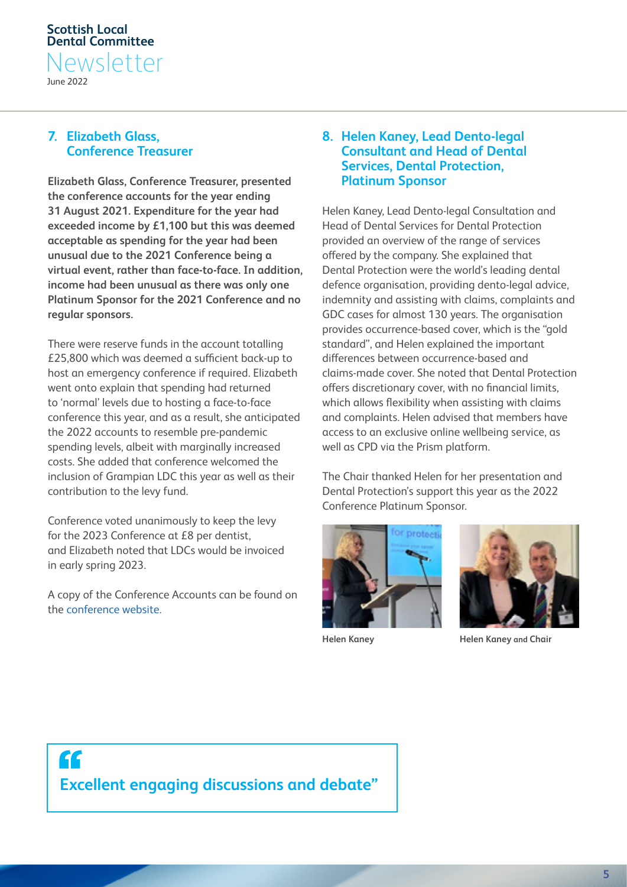#### **7. Elizabeth Glass, Conference Treasurer**

**Elizabeth Glass, Conference Treasurer, presented the conference accounts for the year ending 31 August 2021. Expenditure for the year had exceeded income by £1,100 but this was deemed acceptable as spending for the year had been unusual due to the 2021 Conference being a virtual event, rather than face-to-face. In addition, income had been unusual as there was only one Platinum Sponsor for the 2021 Conference and no regular sponsors.** 

There were reserve funds in the account totalling £25,800 which was deemed a sufficient back-up to host an emergency conference if required. Elizabeth went onto explain that spending had returned to 'normal' levels due to hosting a face-to-face conference this year, and as a result, she anticipated the 2022 accounts to resemble pre-pandemic spending levels, albeit with marginally increased costs. She added that conference welcomed the inclusion of Grampian LDC this year as well as their contribution to the levy fund.

Conference voted unanimously to keep the levy for the 2023 Conference at £8 per dentist, and Elizabeth noted that LDCs would be invoiced in early spring 2023.

A copy of the Conference Accounts can be found on the [conference website.](https://scot-ldc.co.uk/) 

#### **8. Helen Kaney, Lead Dento-legal Consultant and Head of Dental Services, Dental Protection, Platinum Sponsor**

Helen Kaney, Lead Dento-legal Consultation and Head of Dental Services for Dental Protection provided an overview of the range of services offered by the company. She explained that Dental Protection were the world's leading dental defence organisation, providing dento-legal advice, indemnity and assisting with claims, complaints and GDC cases for almost 130 years. The organisation provides occurrence-based cover, which is the "gold standard", and Helen explained the important differences between occurrence-based and claims-made cover. She noted that Dental Protection offers discretionary cover, with no financial limits, which allows flexibility when assisting with claims and complaints. Helen advised that members have access to an exclusive online wellbeing service, as well as CPD via the Prism platform.

The Chair thanked Helen for her presentation and Dental Protection's support this year as the 2022 Conference Platinum Sponsor.





**Helen Kaney Helen Kaney and Chair**

 $\mathbf{f}$ **Excellent engaging discussions and debate"**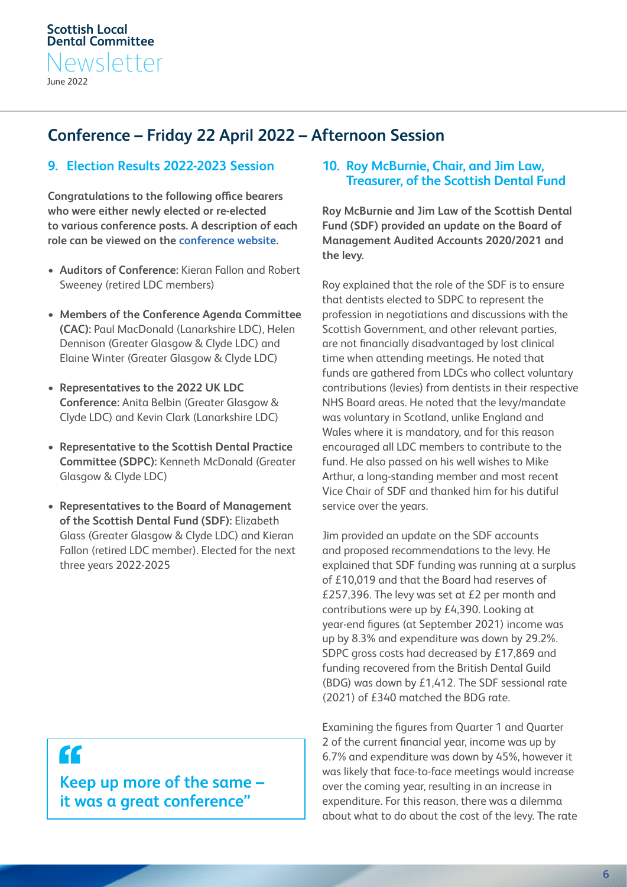# **Conference – Friday 22 April 2022 – Afternoon Session**

### **9. Election Results 2022-2023 Session**

**Congratulations to the following office bearers who were either newly elected or re-elected to various conference posts. A description of each role can be viewed on the [conference website](https://scot-ldc.co.uk/2022-agenda/elections/).**

- **Auditors of Conference:** Kieran Fallon and Robert Sweeney (retired LDC members)
- **Members of the Conference Agenda Committee (CAC):** Paul MacDonald (Lanarkshire LDC), Helen Dennison (Greater Glasgow & Clyde LDC) and Elaine Winter (Greater Glasgow & Clyde LDC)
- **Representatives to the 2022 UK LDC Conference:** Anita Belbin (Greater Glasgow & Clyde LDC) and Kevin Clark (Lanarkshire LDC)
- **Representative to the Scottish Dental Practice Committee (SDPC):** Kenneth McDonald (Greater Glasgow & Clyde LDC)
- **Representatives to the Board of Management of the Scottish Dental Fund (SDF):** Elizabeth Glass (Greater Glasgow & Clyde LDC) and Kieran Fallon (retired LDC member). Elected for the next three years 2022-2025

# **10. Roy McBurnie, Chair, and Jim Law, Treasurer, of the Scottish Dental Fund**

**Roy McBurnie and Jim Law of the Scottish Dental Fund (SDF) provided an update on the Board of Management Audited Accounts 2020/2021 and the levy.** 

Roy explained that the role of the SDF is to ensure that dentists elected to SDPC to represent the profession in negotiations and discussions with the Scottish Government, and other relevant parties, are not financially disadvantaged by lost clinical time when attending meetings. He noted that funds are gathered from LDCs who collect voluntary contributions (levies) from dentists in their respective NHS Board areas. He noted that the levy/mandate was voluntary in Scotland, unlike England and Wales where it is mandatory, and for this reason encouraged all LDC members to contribute to the fund. He also passed on his well wishes to Mike Arthur, a long-standing member and most recent Vice Chair of SDF and thanked him for his dutiful service over the years.

Jim provided an update on the SDF accounts and proposed recommendations to the levy. He explained that SDF funding was running at a surplus of £10,019 and that the Board had reserves of £257,396. The levy was set at £2 per month and contributions were up by £4,390. Looking at year-end figures (at September 2021) income was up by 8.3% and expenditure was down by 29.2%. SDPC gross costs had decreased by £17,869 and funding recovered from the British Dental Guild (BDG) was down by £1,412. The SDF sessional rate (2021) of £340 matched the BDG rate.

Examining the figures from Quarter 1 and Quarter 2 of the current financial year, income was up by 6.7% and expenditure was down by 45%, however it was likely that face-to-face meetings would increase over the coming year, resulting in an increase in expenditure. For this reason, there was a dilemma about what to do about the cost of the levy. The rate

"

**Keep up more of the same – it was a great conference"**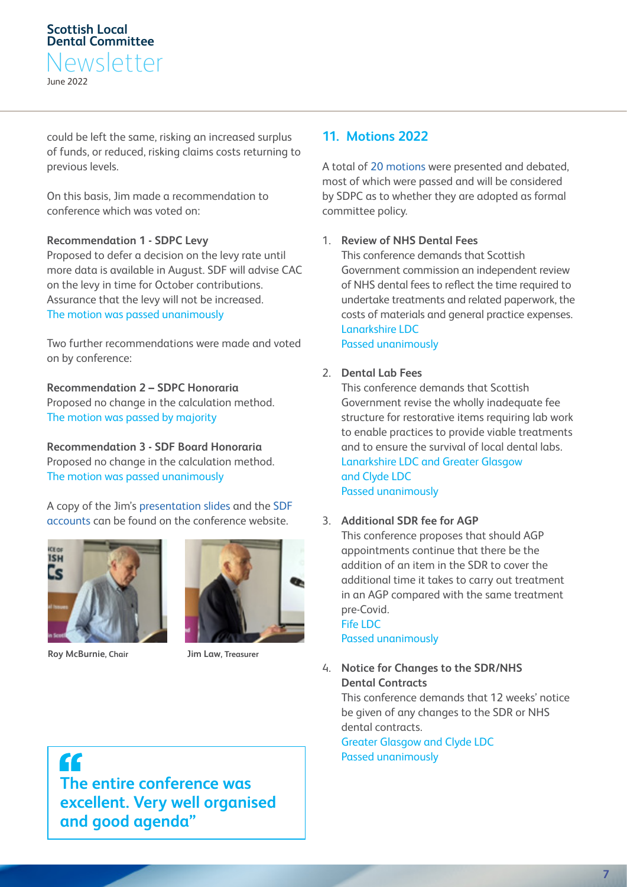could be left the same, risking an increased surplus of funds, or reduced, risking claims costs returning to previous levels.

On this basis, Jim made a recommendation to conference which was voted on:

#### **Recommendation 1 - SDPC Levy**

Proposed to defer a decision on the levy rate until more data is available in August. SDF will advise CAC on the levy in time for October contributions. Assurance that the levy will not be increased. The motion was passed unanimously

Two further recommendations were made and voted on by conference:

**Recommendation 2 – SDPC Honoraria**  Proposed no change in the calculation method. The motion was passed by majority

**Recommendation 3 - SDF Board Honoraria**  Proposed no change in the calculation method. The motion was passed unanimously

A copy of the Jim's [presentation slides](https://scot-ldc.co.uk/2022-agenda/documents-2022/) and the [SDF](https://eur01.safelinks.protection.outlook.com/?url=https%3A%2F%2Fscot-ldc.co.uk%2Fwp-content%2Fuploads%2F2022%2F04%2F2022-Conference-Pack-1.pdf&data=03%7C01%7C%7C2836a65b88e6464c8c336626df5e4642%7Ca2143835a8314945943816cf79e6b6d2%7C0%7C0%7C637885508324244653%7CGood%7CV0FDfHsiViI6IjAuMC4wMDAwIiwiUCI6IiIsIkFOIjoiIiwiV1QiOjR9&sdata=S38Z44y8sJRox4Fr%2F6%2FK1Yz5n3NFpaAk2hSPTP0nhsg%3D&reserved=0)  [accounts](https://eur01.safelinks.protection.outlook.com/?url=https%3A%2F%2Fscot-ldc.co.uk%2Fwp-content%2Fuploads%2F2022%2F04%2F2022-Conference-Pack-1.pdf&data=03%7C01%7C%7C2836a65b88e6464c8c336626df5e4642%7Ca2143835a8314945943816cf79e6b6d2%7C0%7C0%7C637885508324244653%7CGood%7CV0FDfHsiViI6IjAuMC4wMDAwIiwiUCI6IiIsIkFOIjoiIiwiV1QiOjR9&sdata=S38Z44y8sJRox4Fr%2F6%2FK1Yz5n3NFpaAk2hSPTP0nhsg%3D&reserved=0) can be found on the conference website.



**Roy McBurnie, Chair Jim Law, Treasurer** 



# **11. Motions 2022**

A total of [20 motions](https://scot-ldc.co.uk/2022-agenda/motions/) were presented and debated, most of which were passed and will be considered by SDPC as to whether they are adopted as formal committee policy.

#### 1. **Review of NHS Dental Fees**

This conference demands that Scottish Government commission an independent review of NHS dental fees to reflect the time required to undertake treatments and related paperwork, the costs of materials and general practice expenses. Lanarkshire LDC Passed unanimously

#### 2. **Dental Lab Fees**

This conference demands that Scottish Government revise the wholly inadequate fee structure for restorative items requiring lab work to enable practices to provide viable treatments and to ensure the survival of local dental labs. Lanarkshire LDC and Greater Glasgow and Clyde LDC Passed unanimously

#### 3. **Additional SDR fee for AGP**

This conference proposes that should AGP appointments continue that there be the addition of an item in the SDR to cover the additional time it takes to carry out treatment in an AGP compared with the same treatment pre-Covid. Fife LDC

Passed unanimously

4. **Notice for Changes to the SDR/NHS Dental Contracts** 

This conference demands that 12 weeks' notice be given of any changes to the SDR or NHS dental contracts. Greater Glasgow and Clyde LDC Passed unanimously

" **The entire conference was excellent. Very well organised and good agenda"**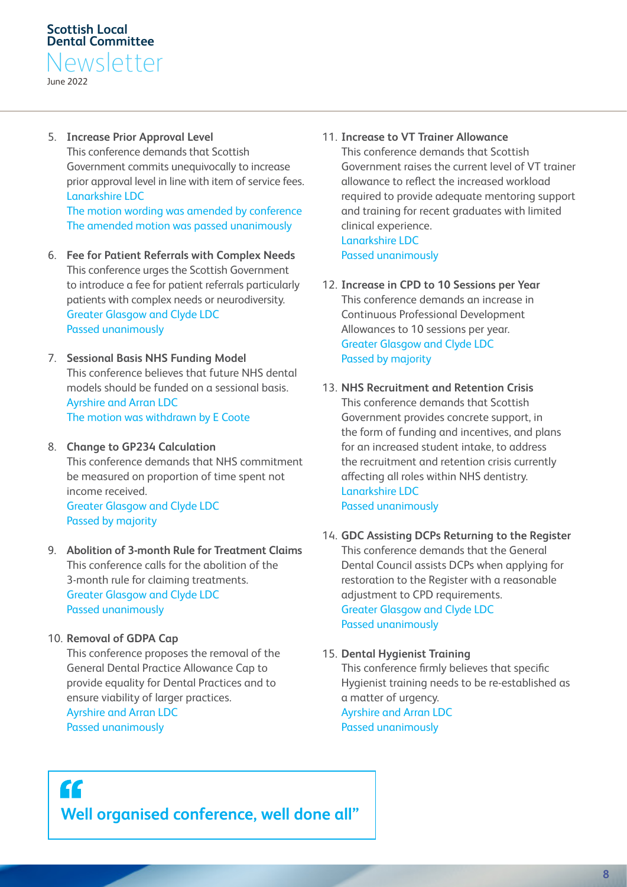June 2022

5. **Increase Prior Approval Level**  This conference demands that Scottish Government commits unequivocally to increase prior approval level in line with item of service fees. Lanarkshire LDC

The motion wording was amended by conference The amended motion was passed unanimously

- 6. **Fee for Patient Referrals with Complex Needs**  This conference urges the Scottish Government to introduce a fee for patient referrals particularly patients with complex needs or neurodiversity. Greater Glasgow and Clyde LDC Passed unanimously
- 7. **Sessional Basis NHS Funding Model**  This conference believes that future NHS dental models should be funded on a sessional basis. Ayrshire and Arran LDC The motion was withdrawn by E Coote
- 8. **Change to GP234 Calculation**  This conference demands that NHS commitment be measured on proportion of time spent not income received. Greater Glasgow and Clyde LDC Passed by majority
- 9. **Abolition of 3-month Rule for Treatment Claims**  This conference calls for the abolition of the 3-month rule for claiming treatments. Greater Glasgow and Clyde LDC Passed unanimously
- 10. **Removal of GDPA Cap**

This conference proposes the removal of the General Dental Practice Allowance Cap to provide equality for Dental Practices and to ensure viability of larger practices. Ayrshire and Arran LDC Passed unanimously

- 11. **Increase to VT Trainer Allowance**  This conference demands that Scottish Government raises the current level of VT trainer allowance to reflect the increased workload required to provide adequate mentoring support and training for recent graduates with limited clinical experience. Lanarkshire LDC Passed unanimously
- 12. **Increase in CPD to 10 Sessions per Year**  This conference demands an increase in Continuous Professional Development Allowances to 10 sessions per year. Greater Glasgow and Clyde LDC Passed by majority
- 13. **NHS Recruitment and Retention Crisis**  This conference demands that Scottish Government provides concrete support, in the form of funding and incentives, and plans for an increased student intake, to address the recruitment and retention crisis currently affecting all roles within NHS dentistry. Lanarkshire LDC Passed unanimously
- 14. **GDC Assisting DCPs Returning to the Register**  This conference demands that the General Dental Council assists DCPs when applying for restoration to the Register with a reasonable adjustment to CPD requirements. Greater Glasgow and Clyde LDC Passed unanimously
- 15. **Dental Hygienist Training**  This conference firmly believes that specific Hygienist training needs to be re-established as a matter of urgency. Ayrshire and Arran LDC Passed unanimously

# $\mathbf{G}$ **Well organised conference, well done all"**